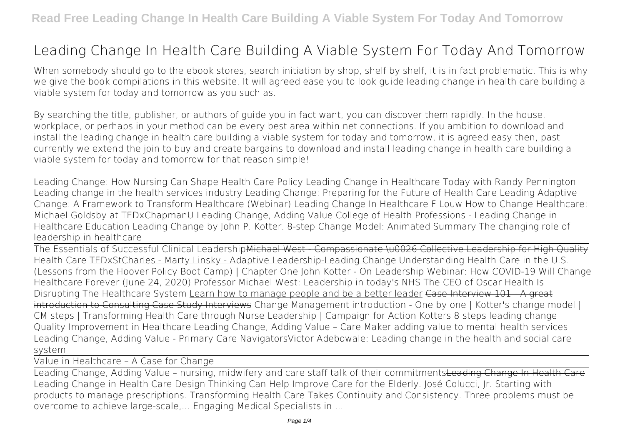# **Leading Change In Health Care Building A Viable System For Today And Tomorrow**

When somebody should go to the ebook stores, search initiation by shop, shelf by shelf, it is in fact problematic. This is why we give the book compilations in this website. It will agreed ease you to look guide **leading change in health care building a viable system for today and tomorrow** as you such as.

By searching the title, publisher, or authors of guide you in fact want, you can discover them rapidly. In the house, workplace, or perhaps in your method can be every best area within net connections. If you ambition to download and install the leading change in health care building a viable system for today and tomorrow, it is agreed easy then, past currently we extend the join to buy and create bargains to download and install leading change in health care building a viable system for today and tomorrow for that reason simple!

*Leading Change: How Nursing Can Shape Health Care Policy* **Leading Change in Healthcare Today with Randy Pennington** Leading change in the health services industry *Leading Change: Preparing for the Future of Health Care* Leading Adaptive Change: A Framework to Transform Healthcare (Webinar) *Leading Change In Healthcare F Louw How to Change Healthcare: Michael Goldsby at TEDxChapmanU* Leading Change, Adding Value College of Health Professions - Leading Change in Healthcare Education *Leading Change by John P. Kotter. 8-step Change Model: Animated Summary The changing role of leadership in healthcare*

The Essentials of Successful Clinical LeadershipMichael West - Compassionate \u0026 Collective Leadership for High Quality Health Care TEDxStCharles - Marty Linsky - Adaptive Leadership-Leading Change *Understanding Health Care in the U.S. (Lessons from the Hoover Policy Boot Camp) | Chapter One* John Kotter - On Leadership Webinar: How COVID-19 Will Change Healthcare Forever (June 24, 2020) **Professor Michael West: Leadership in today's NHS The CEO of Oscar Health Is Disrupting The Healthcare System** Learn how to manage people and be a better leader Case Interview 101 - A great introduction to Consulting Case Study Interviews *Change Management introduction - One by one | Kotter's change model | CM steps |* Transforming Health Care through Nurse Leadership | Campaign for Action **Kotters 8 steps leading change** Quality Improvement in Healthcare Leading Change, Adding Value – Care Maker adding value to mental health services Leading Change, Adding Value - Primary Care Navigators**Victor Adebowale: Leading change in the health and social care system**

Value in Healthcare – A Case for Change

Leading Change, Adding Value – nursing, midwifery and care staff talk of their commitmentsLeading Change In Health Care Leading Change in Health Care Design Thinking Can Help Improve Care for the Elderly. José Colucci, Jr. Starting with products to manage prescriptions. Transforming Health Care Takes Continuity and Consistency. Three problems must be overcome to achieve large-scale,... Engaging Medical Specialists in ...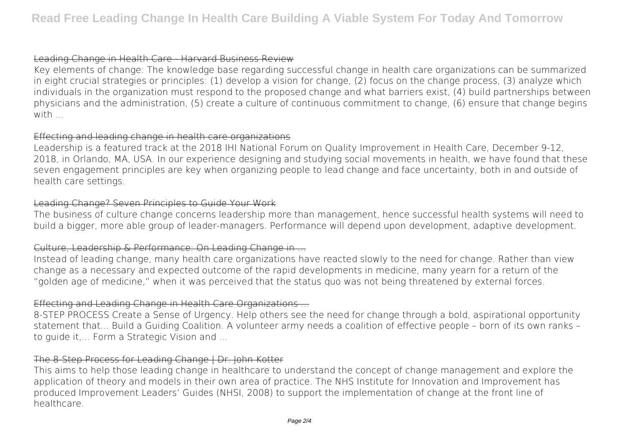## Leading Change in Health Care - Harvard Business Review

Key elements of change: The knowledge base regarding successful change in health care organizations can be summarized in eight crucial strategies or principles: (1) develop a vision for change, (2) focus on the change process, (3) analyze which individuals in the organization must respond to the proposed change and what barriers exist, (4) build partnerships between physicians and the administration, (5) create a culture of continuous commitment to change, (6) ensure that change begins with ...

## Effecting and leading change in health care organizations

Leadership is a featured track at the 2018 IHI National Forum on Quality Improvement in Health Care, December 9-12, 2018, in Orlando, MA, USA. In our experience designing and studying social movements in health, we have found that these seven engagement principles are key when organizing people to lead change and face uncertainty, both in and outside of health care settings.

# Leading Change? Seven Principles to Guide Your Work

The business of culture change concerns leadership more than management, hence successful health systems will need to build a bigger, more able group of leader-managers. Performance will depend upon development, adaptive development.

# Culture, Leadership & Performance: On Leading Change in ...

Instead of leading change, many health care organizations have reacted slowly to the need for change. Rather than view change as a necessary and expected outcome of the rapid developments in medicine, many yearn for a return of the "golden age of medicine," when it was perceived that the status quo was not being threatened by external forces.

## Effecting and Leading Change in Health Care Organizations ...

8-STEP PROCESS Create a Sense of Urgency. Help others see the need for change through a bold, aspirational opportunity statement that... Build a Guiding Coalition. A volunteer army needs a coalition of effective people – born of its own ranks – to guide it,... Form a Strategic Vision and ...

## The 8-Step Process for Leading Change | Dr. John Kotter

This aims to help those leading change in healthcare to understand the concept of change management and explore the application of theory and models in their own area of practice. The NHS Institute for Innovation and Improvement has produced Improvement Leaders' Guides (NHSI, 2008) to support the implementation of change at the front line of healthcare.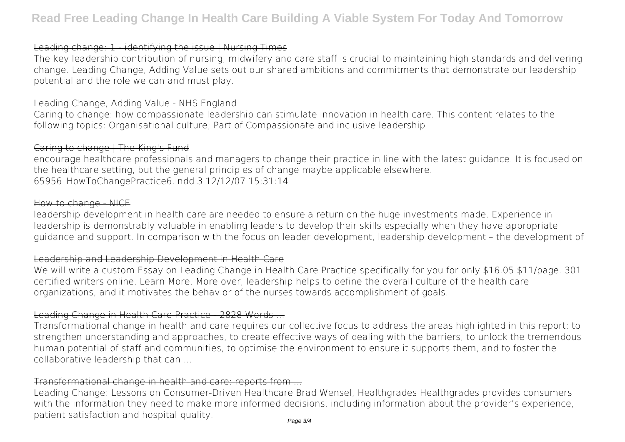# Leading change: 1 - identifying the issue | Nursing Times

The key leadership contribution of nursing, midwifery and care staff is crucial to maintaining high standards and delivering change. Leading Change, Adding Value sets out our shared ambitions and commitments that demonstrate our leadership potential and the role we can and must play.

## Leading Change, Adding Value - NHS England

Caring to change: how compassionate leadership can stimulate innovation in health care. This content relates to the following topics: Organisational culture; Part of Compassionate and inclusive leadership

#### Caring to change | The King's Fund

encourage healthcare professionals and managers to change their practice in line with the latest guidance. It is focused on the healthcare setting, but the general principles of change maybe applicable elsewhere. 65956\_HowToChangePractice6.indd 3 12/12/07 15:31:14

#### How to change NICE

leadership development in health care are needed to ensure a return on the huge investments made. Experience in leadership is demonstrably valuable in enabling leaders to develop their skills especially when they have appropriate guidance and support. In comparison with the focus on leader development, leadership development – the development of

# Leadership and Leadership Development in Health Care

We will write a custom Essay on Leading Change in Health Care Practice specifically for you for only \$16.05 \$11/page. 301 certified writers online. Learn More. More over, leadership helps to define the overall culture of the health care organizations, and it motivates the behavior of the nurses towards accomplishment of goals.

## Leading Change in Health Care Practice 2828 Words ...

Transformational change in health and care requires our collective focus to address the areas highlighted in this report: to strengthen understanding and approaches, to create effective ways of dealing with the barriers, to unlock the tremendous human potential of staff and communities, to optimise the environment to ensure it supports them, and to foster the collaborative leadership that can ...

# Transformational change in health and care: reports from ...

Leading Change: Lessons on Consumer-Driven Healthcare Brad Wensel, Healthgrades Healthgrades provides consumers with the information they need to make more informed decisions, including information about the provider's experience, patient satisfaction and hospital quality.